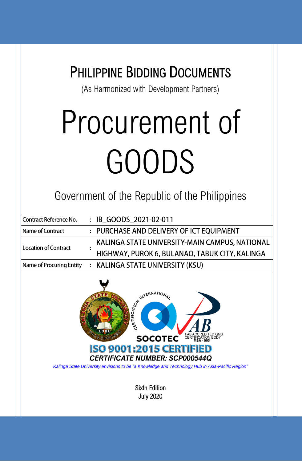|                                 | <b>PHILIPPINE BIDDING DOCUMENTS</b><br>(As Harmonized with Development Partners)                                                                                                                                                                                                                                  |  |  |  |  |
|---------------------------------|-------------------------------------------------------------------------------------------------------------------------------------------------------------------------------------------------------------------------------------------------------------------------------------------------------------------|--|--|--|--|
|                                 | Procurement of                                                                                                                                                                                                                                                                                                    |  |  |  |  |
|                                 | GOODS                                                                                                                                                                                                                                                                                                             |  |  |  |  |
|                                 | Government of the Republic of the Philippines                                                                                                                                                                                                                                                                     |  |  |  |  |
| <b>Contract Reference No.</b>   | : IB_GOODS_2021-02-011                                                                                                                                                                                                                                                                                            |  |  |  |  |
| <b>Name of Contract</b>         | : PURCHASE AND DELIVERY OF ICT EQUIPMENT                                                                                                                                                                                                                                                                          |  |  |  |  |
| <b>Location of Contract</b>     | KALINGA STATE UNIVERSITY-MAIN CAMPUS, NATIONAL<br>HIGHWAY, PUROK 6, BULANAO, TABUK CITY, KALINGA                                                                                                                                                                                                                  |  |  |  |  |
| <b>Name of Procuring Entity</b> | <b>KALINGA STATE UNIVERSITY (KSU)</b>                                                                                                                                                                                                                                                                             |  |  |  |  |
|                                 | ON INTERNATIONAL<br>PAB ACCREDITED QMS<br>CERTIFICATION BODY<br>MSA - 005<br><b>SOCOTEC</b><br><b>ISO 9001:2015 CERT</b><br><b>CERTIFICATE NUMBER: SCP000544Q</b><br>Kalinga State University envisions to be "a Knowledge and Technology Hub in Asia-Pacific Region"<br><b>Sixth Edition</b><br><b>July 2020</b> |  |  |  |  |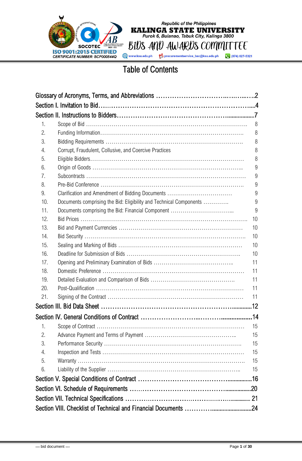

BIUS AND AWARDS COMMITTEE procurementservice\_bac@ksu.edu.ph (074) 627-5321

Republic of the Philippines<br> **KALINGA STATE UNIVERSITY**<br>
Purok 6, Bulanao, Tabuk City, Kalinga 3800

### Table of Contents

| 1.  |                                                                    | 8  |
|-----|--------------------------------------------------------------------|----|
| 2.  |                                                                    | 8  |
| 3.  |                                                                    | 8  |
| 4.  | Corrupt, Fraudulent, Collusive, and Coercive Practices             | 8  |
| 5.  |                                                                    | 8  |
| 6.  |                                                                    | 9  |
| 7.  |                                                                    | 9  |
| 8.  |                                                                    | 9  |
| 9.  | Clarification and Amendment of Bidding Documents                   | 9  |
| 10. | Documents comprising the Bid: Eligibility and Technical Components | 9  |
| 11. |                                                                    | 9  |
| 12. |                                                                    | 10 |
| 13. |                                                                    | 10 |
| 14. |                                                                    | 10 |
| 15. |                                                                    | 10 |
| 16. |                                                                    | 10 |
| 17. |                                                                    | 11 |
| 18. |                                                                    | 11 |
| 19. |                                                                    | 11 |
| 20. |                                                                    | 11 |
| 21. |                                                                    | 11 |
|     |                                                                    |    |
|     |                                                                    |    |
| 1.  |                                                                    | 15 |
| 2.  |                                                                    | 15 |
| 3.  |                                                                    | 15 |
| 4.  |                                                                    | 15 |
| 5.  |                                                                    | 15 |
| 6.  |                                                                    | 15 |
|     |                                                                    |    |
|     |                                                                    |    |
|     |                                                                    |    |
|     |                                                                    |    |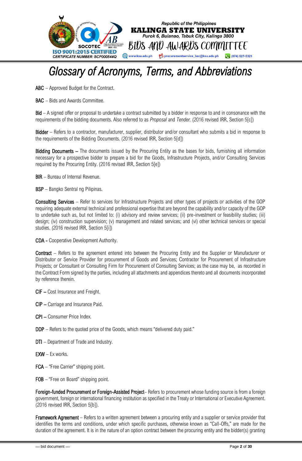

## <span id="page-2-0"></span>*Glossary of Acronyms, Terms, and Abbreviations*

ABC – Approved Budget for the Contract.

BAC – Bids and Awards Committee.

Bid – A signed offer or proposal to undertake a contract submitted by a bidder in response to and in consonance with the requirements of the bidding documents. Also referred to as *Proposal* and *Tender.* (2016 revised IRR, Section 5[c])

Bidder – Refers to a contractor, manufacturer, supplier, distributor and/or consultant who submits a bid in response to the requirements of the Bidding Documents. (2016 revised IRR, Section 5[d])

Bidding Documents – The documents issued by the Procuring Entity as the bases for bids, furnishing all information necessary for a prospective bidder to prepare a bid for the Goods, Infrastructure Projects, and/or Consulting Services required by the Procuring Entity. (2016 revised IRR, Section 5[e])

**BIR** – Bureau of Internal Revenue.

BSP – Bangko Sentral ng Pilipinas.

Consulting Services – Refer to services for Infrastructure Projects and other types of projects or activities of the GOP requiring adequate external technical and professional expertise that are beyond the capability and/or capacity of the GOP to undertake such as, but not limited to: (i) advisory and review services; (ii) pre-investment or feasibility studies; (iii) design; (iv) construction supervision; (v) management and related services; and (vi) other technical services or special studies. (2016 revised IRR, Section 5[i])

CDA - Cooperative Development Authority.

Contract – Refers to the agreement entered into between the Procuring Entity and the Supplier or Manufacturer or Distributor or Service Provider for procurement of Goods and Services; Contractor for Procurement of Infrastructure Projects; or Consultant or Consulting Firm for Procurement of Consulting Services; as the case may be, as recorded in the Contract Form signed by the parties, including all attachments and appendices thereto and all documents incorporated by reference therein.

- CIF Cost Insurance and Freight.
- CIP Carriage and Insurance Paid.
- CPI Consumer Price Index.
- DDP Refers to the quoted price of the Goods, which means "delivered duty paid."
- DTI Department of Trade and Industry.
- $EXW Ex$  works.
- FCA "Free Carrier" shipping point.
- FOB "Free on Board" shipping point.

Foreign-funded Procurement or Foreign-Assisted Project– Refers to procurement whose funding source is from a foreign government, foreign or international financing institution as specified in the Treaty or International or Executive Agreement. (2016 revised IRR, Section 5[b]).

**Framework Agreement** – Refers to a written agreement between a procuring entity and a supplier or service provider that identifies the terms and conditions, under which specific purchases, otherwise known as "Call-Offs," are made for the duration of the agreement. It is in the nature of an option contract between the procuring entity and the bidder(s) granting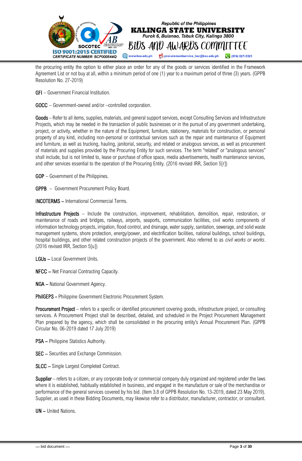

the procuring entity the option to either place an order for any of the goods or services identified in the Framework Agreement List or not buy at all, within a minimum period of one (1) year to a maximum period of three (3) years. (GPPB Resolution No. 27-2019)

GFI – Government Financial Institution.

GOCC – Government-owned and/or –controlled corporation.

Goods – Refer to all items, supplies, materials, and general support services, except Consulting Services and Infrastructure Projects, which may be needed in the transaction of public businesses or in the pursuit of any government undertaking, project, or activity, whether in the nature of the Equipment, furniture, stationery, materials for construction, or personal property of any kind, including non-personal or contractual services such as the repair and maintenance of Equipment and furniture, as well as trucking, hauling, janitorial, security, and related or analogous services, as well as procurement of materials and supplies provided by the Procuring Entity for such services. The term "related" or "analogous services" shall include, but is not limited to, lease or purchase of office space, media advertisements, health maintenance services, and other services essential to the operation of the Procuring Entity. (2016 revised IRR, Section 5[r])

GOP – Government of the Philippines.

GPPB – Government Procurement Policy Board.

INCOTERMS – International Commercial Terms.

Infrastructure Projects – Include the construction, improvement, rehabilitation, demolition, repair, restoration, or maintenance of roads and bridges, railways, airports, seaports, communication facilities, civil works components of information technology projects, irrigation, flood control, and drainage, water supply, sanitation, sewerage, and solid waste management systems, shore protection, energy/power, and electrification facilities, national buildings, school buildings, hospital buildings, and other related construction projects of the government. Also referred to as *civil works or works*. (2016 revised IRR, Section 5[u])

LGUs – Local Government Units.

NFCC – Net Financial Contracting Capacity.

NGA – National Government Agency.

PhilGEPS - Philippine Government Electronic Procurement System.

Procurement Project – refers to a specific or identified procurement covering goods, infrastructure project, or consulting services. A Procurement Project shall be described, detailed, and scheduled in the Project Procurement Management Plan prepared by the agency, which shall be consolidated in the procuring entity's Annual Procurement Plan. (GPPB Circular No. 06-2019 dated 17 July 2019)

PSA – Philippine Statistics Authority.

SEC – Securities and Exchange Commission.

SLCC – Single Largest Completed Contract.

Supplier – refers to a citizen, or any corporate body or commercial company duly organized and registered under the laws where it is established, habitually established in business, and engaged in the manufacture or sale of the merchandise or performance of the general services covered by his bid. (Item 3.8 of GPPB Resolution No. 13-2019, dated 23 May 2019). Supplier, as used in these Bidding Documents, may likewise refer to a distributor, manufacturer, contractor, or consultant.

UN – United Nations.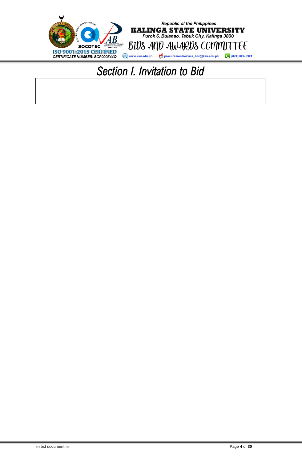<span id="page-4-0"></span>

## *Section I. Invitation to Bid*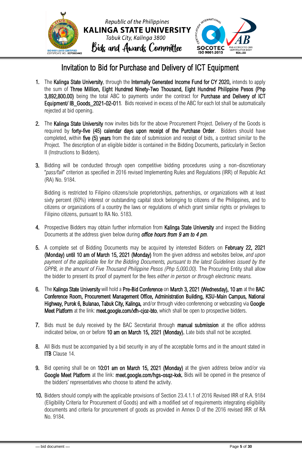

### Invitation to Bid for Purchase and Delivery of ICT Equipment

- 1. The Kalinga State University, through the Internally Generated Income Fund for CY 2020, intends to apply the sum of Three Million, Eight Hundred Ninety-Two Thousand, Eight Hundred Philippine Pesos (Php 3,892,800.00) being the total ABC to payments under the contract for Purchase and Delivery of ICT Equipment/ IB\_Goods\_2021-02-011*.* Bids received in excess of the ABC for each lot shall be automatically rejected at bid opening.
- 2. The Kalinga State University now invites bids for the above Procurement Project. Delivery of the Goods is required by forty-five (45) calendar days upon receipt of the Purchase Order. Bidders should have completed, within five (5) years from the date of submission and receipt of bids, a contract similar to the Project. The description of an eligible bidder is contained in the Bidding Documents, particularly in Section II (Instructions to Bidders).
- 3. Bidding will be conducted through open competitive bidding procedures using a non-discretionary "*pass/fail*" criterion as specified in 2016 revised Implementing Rules and Regulations (IRR) of Republic Act (RA) No. 9184.

Bidding is restricted to Filipino citizens/sole proprietorships, partnerships, or organizations with at least sixty percent (60%) interest or outstanding capital stock belonging to citizens of the Philippines, and to citizens or organizations of a country the laws or regulations of which grant similar rights or privileges to Filipino citizens, pursuant to RA No. 5183.

- 4. Prospective Bidders may obtain further information from Kalinga State University and inspect the Bidding Documents at the address given below during *office hours from 9 am to 4 pm*.
- 5. A complete set of Bidding Documents may be acquired by interested Bidders on February 22, 2021 (Monday) until 10 am of March 15, 2021 (Monday) from the given address and websites below, *and upon payment of the applicable fee for the Bidding Documents, pursuant to the latest Guidelines issued by the GPPB, in the amount of Five Thousand Philippine Pesos (Php 5,000.00).* The Procuring Entity shall allow the bidder to present its proof of payment for the fees *either in person or through electronic means.*
- 6. The Kalinga State University will hold a Pre-Bid Conference on March 3, 2021 (Wednesday), 10 am at the BAC Conference Room, Procurement Management Office, Administration Building, KSU-Main Campus, National Highway, Purok 6, Bulanao, Tabuk City, Kalinga, and/or through video conferencing or webcasting via Google Meet Platform at the link: meet.google.com/xfh-cjoz-bto, which shall be open to prospective bidders.
- 7. Bids must be duly received by the BAC Secretariat through manual submission at the office address indicated below, on or before 10 am on March 15, 2021 (Monday). Late bids shall not be accepted.
- 8. All Bids must be accompanied by a bid security in any of the acceptable forms and in the amount stated in **ITB** Clause 14.
- 9. Bid opening shall be on 10:01 am on March 15, 2021 (Monday) at the given address below and/or via Google Meet Platform at the link: meet.google.com/hgs-osqz-kxk. Bids will be opened in the presence of the bidders' representatives who choose to attend the activity.
- 10. Bidders should comply with the applicable provisions of Section 23.4.1.1 of 2016 Revised IRR of R.A. 9184 (Eligibility Criteria for Procurement of Goods) and with a modified set of requirements integrating eligibility documents and criteria for procurement of goods as provided in Annex D of the 2016 revised IRR of RA No. 9184.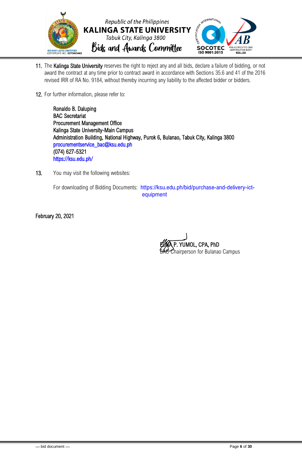

- 11. The Kalinga State University reserves the right to reject any and all bids, declare a failure of bidding, or not award the contract at any time prior to contract award in accordance with Sections 35.6 and 41 of the 2016 revised IRR of RA No. 9184, without thereby incurring any liability to the affected bidder or bidders.
- 12. For further information, please refer to:

Ronaldo B. Daluping BAC Secretariat Procurement Management Office Kalinga State University-Main Campus Administration Building, National Highway, Purok 6, Bulanao, Tabuk City, Kalinga 3800 [procurementservice\\_bac@ksu.edu.ph](mailto:procurementservice_bac@ksu.edu.ph)  (074) 627-5321 <https://ksu.edu.ph/>

13. You may visit the following websites:

For downloading of Bidding Documents: https://ksu.edu.ph/bid/purchase-and-delivery-ictequipment

February 20, 2021

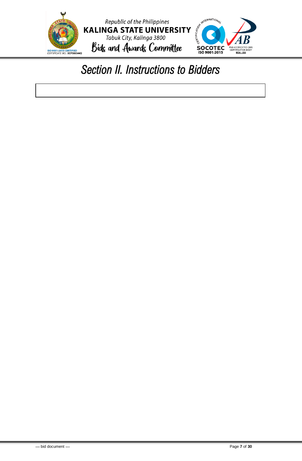

## <span id="page-7-0"></span>*Section II. Instructions to Bidders*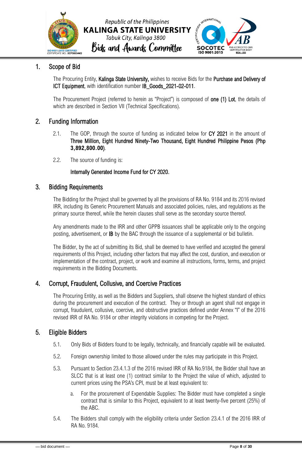



### <span id="page-8-0"></span>1. Scope of Bid

The Procuring Entity, Kalinga State University, wishes to receive Bids for the Purchase and Delivery of ICT Equipment, with identification number IB\_Goods\_2021-02-011.

The Procurement Project (referred to herein as "Project") is composed of **one (1) Lot**, the details of which are described in Section VII (Technical Specifications).

### <span id="page-8-1"></span>2. Funding Information

- 2.1. The GOP, through the source of funding as indicated below for CY 2021 in the amount of Three Million, Eight Hundred Ninety-Two Thousand, Eight Hundred Philippine Pesos (Php **3,892,800.00**)*.*
- 2.2. The source of funding is:

#### Internally Generated Income Fund for CY 2020.

### <span id="page-8-2"></span>3. Bidding Requirements

The Bidding for the Project shall be governed by all the provisions of RA No. 9184 and its 2016 revised IRR, including its Generic Procurement Manuals and associated policies, rules, and regulations as the primary source thereof, while the herein clauses shall serve as the secondary source thereof.

Any amendments made to the IRR and other GPPB issuances shall be applicable only to the ongoing posting, advertisement, or IB by the BAC through the issuance of a supplemental or bid bulletin.

The Bidder, by the act of submitting its Bid, shall be deemed to have verified and accepted the general requirements of this Project, including other factors that may affect the cost, duration, and execution or implementation of the contract, project, or work and examine all instructions, forms, terms, and project requirements in the Bidding Documents.

### <span id="page-8-3"></span>4. Corrupt, Fraudulent, Collusive, and Coercive Practices

The Procuring Entity, as well as the Bidders and Suppliers, shall observe the highest standard of ethics during the procurement and execution of the contract. They or through an agent shall not engage in corrupt, fraudulent, collusive, coercive, and obstructive practices defined under Annex "I" of the 2016 revised IRR of RA No. 9184 or other integrity violations in competing for the Project.

### <span id="page-8-4"></span>5. Eligible Bidders

- 5.1. Only Bids of Bidders found to be legally, technically, and financially capable will be evaluated.
- 5.2. Foreign ownership limited to those allowed under the rules may participate in this Project.
- 5.3. Pursuant to Section 23.4.1.3 of the 2016 revised IRR of RA No.9184, the Bidder shall have an SLCC that is at least one (1) contract similar to the Project the value of which, adjusted to current prices using the PSA's CPI, must be at least equivalent to:
	- a. For the procurement of Expendable Supplies: The Bidder must have completed a single contract that is similar to this Project, equivalent to at least twenty-five percent (25%) of the ABC.
- 5.4. The Bidders shall comply with the eligibility criteria under Section 23.4.1 of the 2016 IRR of RA No. 9184.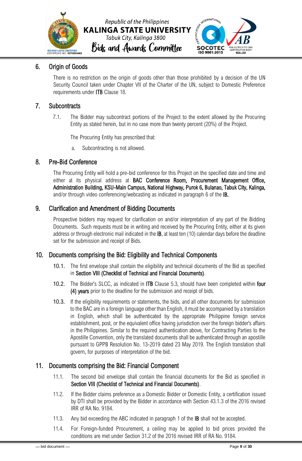



### <span id="page-9-0"></span>6. Origin of Goods

There is no restriction on the origin of goods other than those prohibited by a decision of the UN Security Council taken under Chapter VII of the Charter of the UN, subject to Domestic Preference requirements under ITB Clause 18.

### <span id="page-9-1"></span>7. Subcontracts

7.1. The Bidder may subcontract portions of the Project to the extent allowed by the Procuring Entity as stated herein, but in no case more than twenty percent (20%) of the Project.

The Procuring Entity has prescribed that:

a. Subcontracting is not allowed.

### <span id="page-9-2"></span>8. Pre-Bid Conference

The Procuring Entity will hold a pre-bid conference for this Project on the specified date and time and either at its physical address at BAC Conference Room, Procurement Management Office, Administration Building, KSU-Main Campus, National Highway, Purok 6, Bulanao, Tabuk City, Kalinga, and/or through video conferencing/webcasting as indicated in paragraph 6 of the IB.

### <span id="page-9-3"></span>9. Clarification and Amendment of Bidding Documents

Prospective bidders may request for clarification on and/or interpretation of any part of the Bidding Documents. Such requests must be in writing and received by the Procuring Entity, either at its given address or through electronic mail indicated in the IB, at least ten (10) calendar days before the deadline set for the submission and receipt of Bids.

### <span id="page-9-4"></span>10. Documents comprising the Bid: Eligibility and Technical Components

- 10.1. The first envelope shall contain the eligibility and technical documents of the Bid as specified in Section VIII (Checklist of Technical and Financial Documents).
- 10.2. The Bidder's SLCC, as indicated in **ITB** Clause 5.3, should have been completed within four (4) years prior to the deadline for the submission and receipt of bids.
- 10.3. If the eligibility requirements or statements, the bids, and all other documents for submission to the BAC are in a foreign language other than English, it must be accompanied by a translation in English, which shall be authenticated by the appropriate Philippine foreign service establishment, post, or the equivalent office having jurisdiction over the foreign bidder's affairs in the Philippines. Similar to the required authentication above, for Contracting Parties to the Apostille Convention, only the translated documents shall be authenticated through an apostille pursuant to GPPB Resolution No. 13-2019 dated 23 May 2019. The English translation shall govern, for purposes of interpretation of the bid.

### <span id="page-9-5"></span>11. Documents comprising the Bid: Financial Component

- 11.1. The second bid envelope shall contain the financial documents for the Bid as specified in Section VIII (Checklist of Technical and Financial Documents).
- 11.2. If the Bidder claims preference as a Domestic Bidder or Domestic Entity, a certification issued by DTI shall be provided by the Bidder in accordance with Section 43.1.3 of the 2016 revised IRR of RA No. 9184.
- 11.3. Any bid exceeding the ABC indicated in paragraph 1 of the **IB** shall not be accepted.
- 11.4. For Foreign-funded Procurement, a ceiling may be applied to bid prices provided the conditions are met under Section 31.2 of the 2016 revised IRR of RA No. 9184.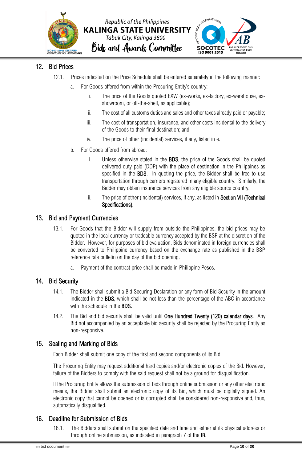



### <span id="page-10-0"></span>12. Bid Prices

- 12.1. Prices indicated on the Price Schedule shall be entered separately in the following manner:
	- a. For Goods offered from within the Procuring Entity's country:
		- i. The price of the Goods quoted EXW (ex-works, ex-factory, ex-warehouse, exshowroom, or off-the-shelf, as applicable);
		- ii. The cost of all customs duties and sales and other taxes already paid or payable;
		- iii. The cost of transportation, insurance, and other costs incidental to the delivery of the Goods to their final destination; and
		- iv. The price of other (incidental) services, if any, listed in e.
	- b. For Goods offered from abroad:
		- i. Unless otherwise stated in the BDS, the price of the Goods shall be quoted delivered duty paid (DDP) with the place of destination in the Philippines as specified in the **BDS**. In quoting the price, the Bidder shall be free to use transportation through carriers registered in any eligible country. Similarly, the Bidder may obtain insurance services from any eligible source country.
		- ii. The price of other (incidental) services, if any, as listed in Section VII (Technical Specifications).

### <span id="page-10-1"></span>13. Bid and Payment Currencies

- 13.1. For Goods that the Bidder will supply from outside the Philippines, the bid prices may be quoted in the local currency or tradeable currency accepted by the BSP at the discretion of the Bidder. However, for purposes of bid evaluation, Bids denominated in foreign currencies shall be converted to Philippine currency based on the exchange rate as published in the BSP reference rate bulletin on the day of the bid opening.
	- a. Payment of the contract price shall be made in Philippine Pesos.

### <span id="page-10-2"></span>14. Bid Security

- 14.1. The Bidder shall submit a Bid Securing Declaration or any form of Bid Security in the amount indicated in the BDS, which shall be not less than the percentage of the ABC in accordance with the schedule in the **BDS**.
- 14.2. The Bid and bid security shall be valid until One Hundred Twenty (120) calendar days*.* Any Bid not accompanied by an acceptable bid security shall be rejected by the Procuring Entity as non-responsive.

### <span id="page-10-3"></span>15. Sealing and Marking of Bids

Each Bidder shall submit one copy of the first and second components of its Bid.

The Procuring Entity may request additional hard copies and/or electronic copies of the Bid. However, failure of the Bidders to comply with the said request shall not be a ground for disqualification.

If the Procuring Entity allows the submission of bids through online submission or any other electronic means, the Bidder shall submit an electronic copy of its Bid, which must be digitally signed. An electronic copy that cannot be opened or is corrupted shall be considered non-responsive and, thus, automatically disqualified.

### <span id="page-10-4"></span>16. Deadline for Submission of Bids

16.1. The Bidders shall submit on the specified date and time and either at its physical address or through online submission, as indicated in paragraph 7 of the IB.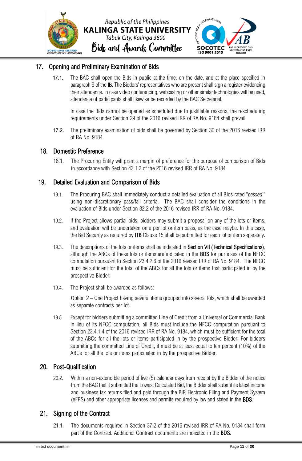

### <span id="page-11-0"></span>17. Opening and Preliminary Examination of Bids

17.1. The BAC shall open the Bids in public at the time, on the date, and at the place specified in paragraph 9 of the IB. The Bidders' representatives who are present shall sign a register evidencing their attendance. In case video conferencing, webcasting or other similar technologies will be used, attendance of participants shall likewise be recorded by the BAC Secretariat.

In case the Bids cannot be opened as scheduled due to justifiable reasons, the rescheduling requirements under Section 29 of the 2016 revised IRR of RA No. 9184 shall prevail.

17.2. The preliminary examination of bids shall be governed by Section 30 of the 2016 revised IRR of RA No. 9184.

### <span id="page-11-1"></span>18. Domestic Preference

18.1. The Procuring Entity will grant a margin of preference for the purpose of comparison of Bids in accordance with Section 43.1.2 of the 2016 revised IRR of RA No. 9184.

### <span id="page-11-2"></span>19. Detailed Evaluation and Comparison of Bids

- 19.1. The Procuring BAC shall immediately conduct a detailed evaluation of all Bids rated "*passed*," using non-discretionary pass/fail criteria. The BAC shall consider the conditions in the evaluation of Bids under Section 32.2 of the 2016 revised IRR of RA No. 9184.
- 19.2. If the Project allows partial bids, bidders may submit a proposal on any of the lots or items, and evaluation will be undertaken on a per lot or item basis, as the case maybe. In this case, the Bid Security as required by ITB Clause 15 shall be submitted for each lot or item separately.
- 19.3. The descriptions of the lots or items shall be indicated in Section VII (Technical Specifications), although the ABCs of these lots or items are indicated in the BDS for purposes of the NFCC computation pursuant to Section 23.4.2.6 of the 2016 revised IRR of RA No. 9184. The NFCC must be sufficient for the total of the ABCs for all the lots or items that participated in by the prospective Bidder.
- 19.4. The Project shall be awarded as follows:

Option 2 – One Project having several items grouped into several lots, which shall be awarded as separate contracts per lot.

19.5. Except for bidders submitting a committed Line of Credit from a Universal or Commercial Bank in lieu of its NFCC computation, all Bids must include the NFCC computation pursuant to Section 23.4.1.4 of the 2016 revised IRR of RA No. 9184, which must be sufficient for the total of the ABCs for all the lots or items participated in by the prospective Bidder. For bidders submitting the committed Line of Credit, it must be at least equal to ten percent (10%) of the ABCs for all the lots or items participated in by the prospective Bidder.

### <span id="page-11-3"></span>20. Post-Qualification

20.2. Within a non-extendible period of five (5) calendar days from receipt by the Bidder of the notice from the BAC that it submitted the Lowest Calculated Bid, the Bidder shall submit its latest income and business tax returns filed and paid through the BIR Electronic Filing and Payment System (eFPS) and other appropriate licenses and permits required by law and stated in the BDS.

### <span id="page-11-4"></span>21. Signing of the Contract

21.1. The documents required in Section 37.2 of the 2016 revised IRR of RA No. 9184 shall form part of the Contract. Additional Contract documents are indicated in the BDS.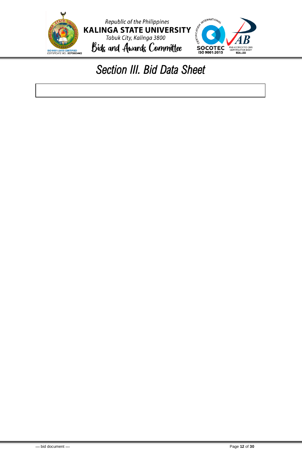<span id="page-12-0"></span>

# *Section III. Bid Data Sheet*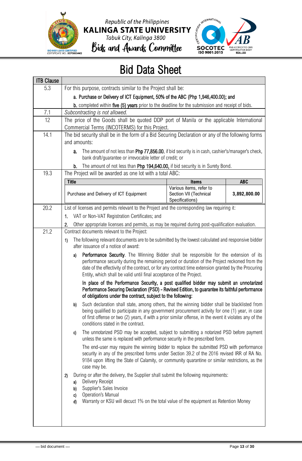





## Bids and Awards Committee

## Bid Data Sheet

| <b>ITB Clause</b> |                                                                                                                                                                                                                                                                                                                                                                              |  |  |  |  |  |
|-------------------|------------------------------------------------------------------------------------------------------------------------------------------------------------------------------------------------------------------------------------------------------------------------------------------------------------------------------------------------------------------------------|--|--|--|--|--|
| 5.3               | For this purpose, contracts similar to the Project shall be:                                                                                                                                                                                                                                                                                                                 |  |  |  |  |  |
|                   | a. Purchase or Delivery of ICT Equipment, 50% of the ABC (Php 1,946,400.00); and                                                                                                                                                                                                                                                                                             |  |  |  |  |  |
|                   | <b>b.</b> completed within five (5) years prior to the deadline for the submission and receipt of bids.                                                                                                                                                                                                                                                                      |  |  |  |  |  |
| 7.1               | Subcontracting is not allowed.                                                                                                                                                                                                                                                                                                                                               |  |  |  |  |  |
| 12                | The price of the Goods shall be quoted DDP port of Manila or the applicable International<br>Commercial Terms (INCOTERMS) for this Project.                                                                                                                                                                                                                                  |  |  |  |  |  |
| 14.1              | The bid security shall be in the form of a Bid Securing Declaration or any of the following forms                                                                                                                                                                                                                                                                            |  |  |  |  |  |
|                   | and amounts:                                                                                                                                                                                                                                                                                                                                                                 |  |  |  |  |  |
|                   | The amount of not less than Php 77,856.00, if bid security is in cash, cashier's/manager's check,<br>а.<br>bank draft/guarantee or irrevocable letter of credit; or                                                                                                                                                                                                          |  |  |  |  |  |
|                   | The amount of not less than Php 194,640.00, if bid security is in Surety Bond.<br>b.                                                                                                                                                                                                                                                                                         |  |  |  |  |  |
| 19.3              | The Project will be awarded as one lot with a total ABC:                                                                                                                                                                                                                                                                                                                     |  |  |  |  |  |
|                   | <b>Title</b><br><b>ABC</b><br><b>Items</b>                                                                                                                                                                                                                                                                                                                                   |  |  |  |  |  |
|                   | Various items, refer to<br>Purchase and Delivery of ICT Equipment<br>3,892,800.00<br>Section VII (Technical<br>Specifications)                                                                                                                                                                                                                                               |  |  |  |  |  |
| 20.2              | List of licenses and permits relevant to the Project and the corresponding law requiring it:                                                                                                                                                                                                                                                                                 |  |  |  |  |  |
|                   | VAT or Non-VAT Registration Certificates; and<br>1.                                                                                                                                                                                                                                                                                                                          |  |  |  |  |  |
|                   | Other appropriate licenses and permits, as may be required during post-qualification evaluation.<br>2.                                                                                                                                                                                                                                                                       |  |  |  |  |  |
| 21.2              | Contract documents relevant to the Project:                                                                                                                                                                                                                                                                                                                                  |  |  |  |  |  |
|                   | The following relevant documents are to be submitted by the lowest calculated and responsive bidder<br>1)<br>after issuance of a notice of award:                                                                                                                                                                                                                            |  |  |  |  |  |
|                   | Performance Security. The Winning Bidder shall be responsible for the extension of its<br>a)<br>performance security during the remaining period or duration of the Project reckoned from the<br>date of the effectivity of the contract, or for any contract time extension granted by the Procuring<br>Entity, which shall be valid until final acceptance of the Project. |  |  |  |  |  |
|                   | In place of the Performance Security, a post qualified bidder may submit an unnotarized<br>Performance Securing Declaration (PSD) - Revised Edition, to guarantee its faithful performance<br>of obligations under the contract, subject to the following:                                                                                                                   |  |  |  |  |  |
|                   | Such declaration shall state, among others, that the winning bidder shall be blacklisted from<br>b)<br>being qualified to participate in any government procurement activity for one (1) year, in case<br>of first offense or two (2) years, if with a prior similar offense, in the event it violates any of the<br>conditions stated in the contract.                      |  |  |  |  |  |
|                   | The unnotarized PSD may be accepted, subject to submitting a notarized PSD before payment<br>C)<br>unless the same is replaced with performance security in the prescribed form.                                                                                                                                                                                             |  |  |  |  |  |
|                   | The end-user may require the winning bidder to replace the submitted PSD with performance<br>security in any of the prescribed forms under Section 39.2 of the 2016 revised IRR of RA No.<br>9184 upon lifting the State of Calamity, or community quarantine or similar restrictions, as the<br>case may be.                                                                |  |  |  |  |  |
|                   | During or after the delivery, the Supplier shall submit the following requirements:<br>2)<br>Delivery Receipt<br>a)<br>Supplier's Sales Invoice<br>b)<br><b>Operation's Manual</b><br>c)<br>Warranty or KSU will decuct 1% on the total value of the equipment as Retention Money<br>d)                                                                                      |  |  |  |  |  |
|                   |                                                                                                                                                                                                                                                                                                                                                                              |  |  |  |  |  |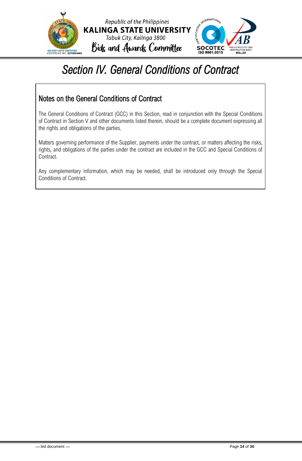



# <span id="page-14-0"></span>*Section IV. General Conditions of Contract*

Republic of the Philippines

Tabuk City, Kalinga 3800

### Notes on the General Conditions of Contract

The General Conditions of Contract (GCC) in this Section, read in conjunction with the Special Conditions of Contract in Section V and other documents listed therein, should be a complete document expressing all the rights and obligations of the parties.

Matters governing performance of the Supplier, payments under the contract, or matters affecting the risks, rights, and obligations of the parties under the contract are included in the GCC and Special Conditions of Contract.

Any complementary information, which may be needed, shall be introduced only through the Special Conditions of Contract.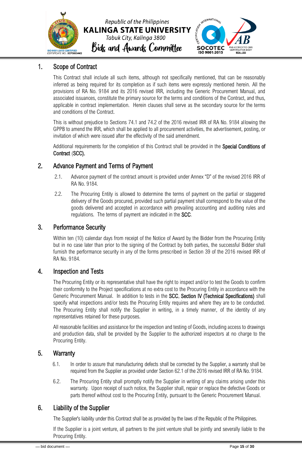



### <span id="page-15-0"></span>1. Scope of Contract

This Contract shall include all such items, although not specifically mentioned, that can be reasonably inferred as being required for its completion as if such items were expressly mentioned herein. All the provisions of RA No. 9184 and its 2016 revised IRR, including the Generic Procurement Manual, and associated issuances, constitute the primary source for the terms and conditions of the Contract, and thus, applicable in contract implementation. Herein clauses shall serve as the secondary source for the terms and conditions of the Contract.

This is without prejudice to Sections 74.1 and 74.2 of the 2016 revised IRR of RA No. 9184 allowing the GPPB to amend the IRR, which shall be applied to all procurement activities, the advertisement, posting, or invitation of which were issued after the effectivity of the said amendment.

Additional requirements for the completion of this Contract shall be provided in the Special Conditions of Contract (SCC).

### <span id="page-15-1"></span>2. Advance Payment and Terms of Payment

- 2.1. Advance payment of the contract amount is provided under Annex "D" of the revised 2016 IRR of RA No. 9184.
- 2.2. The Procuring Entity is allowed to determine the terms of payment on the partial or staggered delivery of the Goods procured, provided such partial payment shall correspond to the value of the goods delivered and accepted in accordance with prevailing accounting and auditing rules and regulations. The terms of payment are indicated in the SCC.

### <span id="page-15-2"></span>3. Performance Security

Within ten (10) calendar days from receipt of the Notice of Award by the Bidder from the Procuring Entity but in no case later than prior to the signing of the Contract by both parties, the successful Bidder shall furnish the performance security in any of the forms prescribed in Section 39 of the 2016 revised IRR of RA No. 9184.

### <span id="page-15-3"></span>4. Inspection and Tests

The Procuring Entity or its representative shall have the right to inspect and/or to test the Goods to confirm their conformity to the Project specifications at no extra cost to the Procuring Entity in accordance with the Generic Procurement Manual. In addition to tests in the SCC, Section IV (Technical Specifications) shall specify what inspections and/or tests the Procuring Entity requires and where they are to be conducted. The Procuring Entity shall notify the Supplier in writing, in a timely manner, of the identity of any representatives retained for these purposes.

All reasonable facilities and assistance for the inspection and testing of Goods, including access to drawings and production data, shall be provided by the Supplier to the authorized inspectors at no charge to the Procuring Entity.

### <span id="page-15-4"></span>5. Warranty

- 6.1. In order to assure that manufacturing defects shall be corrected by the Supplier, a warranty shall be required from the Supplier as provided under Section 62.1 of the 2016 revised IRR of RA No. 9184.
- 6.2. The Procuring Entity shall promptly notify the Supplier in writing of any claims arising under this warranty. Upon receipt of such notice, the Supplier shall, repair or replace the defective Goods or parts thereof without cost to the Procuring Entity, pursuant to the Generic Procurement Manual.

### <span id="page-15-5"></span>6. Liability of the Supplier

The Supplier's liability under this Contract shall be as provided by the laws of the Republic of the Philippines.

If the Supplier is a joint venture, all partners to the joint venture shall be jointly and severally liable to the Procuring Entity.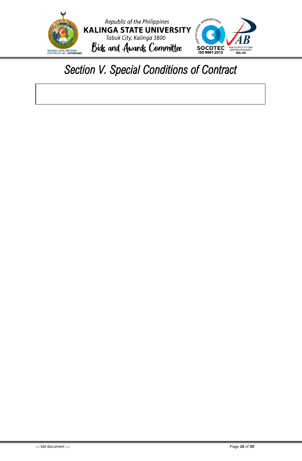

# <span id="page-16-0"></span>*Section V. Special Conditions of Contract*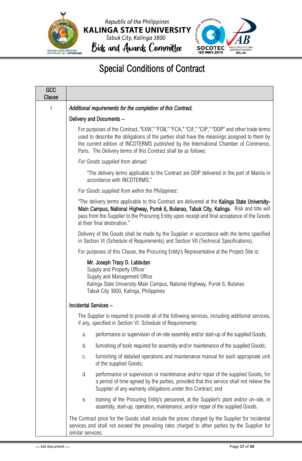





### Special Conditions of Contract

| GCC<br><b>Clause</b> |                                                                                                                                                                                                                                                                                                                                                        |
|----------------------|--------------------------------------------------------------------------------------------------------------------------------------------------------------------------------------------------------------------------------------------------------------------------------------------------------------------------------------------------------|
| 1                    | Additional requirements for the completion of this Contract.                                                                                                                                                                                                                                                                                           |
|                      | Delivery and Documents -                                                                                                                                                                                                                                                                                                                               |
|                      | For purposes of the Contract, "EXW," "FOB," "FCA," "CIF," "CIP," "DDP" and other trade terms<br>used to describe the obligations of the parties shall have the meanings assigned to them by<br>the current edition of INCOTERMS published by the International Chamber of Commerce,<br>Paris. The Delivery terms of this Contract shall be as follows: |
|                      | For Goods supplied from abroad:                                                                                                                                                                                                                                                                                                                        |
|                      | "The delivery terms applicable to the Contract are DDP delivered in the port of Manila in<br>accordance with INCOTERMS."                                                                                                                                                                                                                               |
|                      | For Goods supplied from within the Philippines:                                                                                                                                                                                                                                                                                                        |
|                      | "The delivery terms applicable to this Contract are delivered at the Kalinga State University-<br>Main Campus, National Highway, Purok 6, Bulanao, Tabuk City, Kalinga. Risk and title will<br>pass from the Supplier to the Procuring Entity upon receipt and final acceptance of the Goods<br>at their final destination."                           |
|                      | Delivery of the Goods shall be made by the Supplier in accordance with the terms specified<br>in Section VI (Schedule of Requirements) and Section VII (Technical Specifications).                                                                                                                                                                     |
|                      | For purposes of this Clause, the Procuring Entity's Representative at the Project Site is:                                                                                                                                                                                                                                                             |
|                      | Mr. Joseph Tracy D. Labbutan<br>Supply and Property Officer<br>Supply and Management Office<br>Kalinga State University-Main Campus, National Highway, Purok 6, Bulanao<br>Tabuk City 3800, Kalinga, Philippines                                                                                                                                       |
|                      | Incidental Services -                                                                                                                                                                                                                                                                                                                                  |
|                      | The Supplier is required to provide all of the following services, including additional services,<br>if any, specified in Section VI. Schedule of Requirements:                                                                                                                                                                                        |
|                      | performance or supervision of on-site assembly and/or start-up of the supplied Goods;<br>a.                                                                                                                                                                                                                                                            |
|                      | furnishing of tools required for assembly and/or maintenance of the supplied Goods;<br>b.                                                                                                                                                                                                                                                              |
|                      | furnishing of detailed operations and maintenance manual for each appropriate unit<br>C.<br>of the supplied Goods;                                                                                                                                                                                                                                     |
|                      | performance or supervision or maintenance and/or repair of the supplied Goods, for<br>d.<br>a period of time agreed by the parties, provided that this service shall not relieve the<br>Supplier of any warranty obligations under this Contract; and                                                                                                  |
|                      | training of the Procuring Entity's personnel, at the Supplier's plant and/or on-site, in<br>е.<br>assembly, start-up, operation, maintenance, and/or repair of the supplied Goods.                                                                                                                                                                     |
|                      | The Contract price for the Goods shall include the prices charged by the Supplier for incidental<br>services and shall not exceed the prevailing rates charged to other parties by the Supplier for<br>similar services.                                                                                                                               |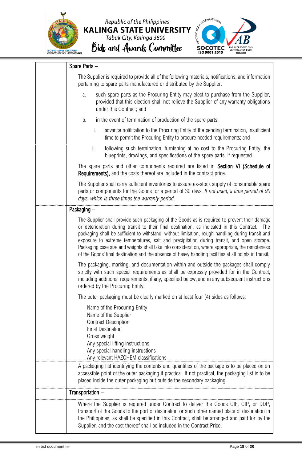



### Spare Parts –

| The Supplier is required to provide all of the following materials, notifications, and information<br>pertaining to spare parts manufactured or distributed by the Supplier:                                                                                                                                                                                                                                                                                                                                                                                                                                        |
|---------------------------------------------------------------------------------------------------------------------------------------------------------------------------------------------------------------------------------------------------------------------------------------------------------------------------------------------------------------------------------------------------------------------------------------------------------------------------------------------------------------------------------------------------------------------------------------------------------------------|
| such spare parts as the Procuring Entity may elect to purchase from the Supplier,<br>a.<br>provided that this election shall not relieve the Supplier of any warranty obligations<br>under this Contract; and                                                                                                                                                                                                                                                                                                                                                                                                       |
| in the event of termination of production of the spare parts:<br>b.                                                                                                                                                                                                                                                                                                                                                                                                                                                                                                                                                 |
| i.<br>advance notification to the Procuring Entity of the pending termination, insufficient<br>time to permit the Procuring Entity to procure needed requirements; and                                                                                                                                                                                                                                                                                                                                                                                                                                              |
| ii.<br>following such termination, furnishing at no cost to the Procuring Entity, the<br>blueprints, drawings, and specifications of the spare parts, if requested.                                                                                                                                                                                                                                                                                                                                                                                                                                                 |
| The spare parts and other components required are listed in Section VI (Schedule of<br><b>Requirements),</b> and the costs thereof are included in the contract price.                                                                                                                                                                                                                                                                                                                                                                                                                                              |
| The Supplier shall carry sufficient inventories to assure ex-stock supply of consumable spare<br>parts or components for the Goods for a period of 30 days. If not used, a time period of 90<br>days, which is three times the warranty period.                                                                                                                                                                                                                                                                                                                                                                     |
| Packaging -                                                                                                                                                                                                                                                                                                                                                                                                                                                                                                                                                                                                         |
| The Supplier shall provide such packaging of the Goods as is required to prevent their damage<br>or deterioration during transit to their final destination, as indicated in this Contract.<br>The<br>packaging shall be sufficient to withstand, without limitation, rough handling during transit and<br>exposure to extreme temperatures, salt and precipitation during transit, and open storage.<br>Packaging case size and weights shall take into consideration, where appropriate, the remoteness<br>of the Goods' final destination and the absence of heavy handling facilities at all points in transit. |
| The packaging, marking, and documentation within and outside the packages shall comply<br>strictly with such special requirements as shall be expressly provided for in the Contract,<br>including additional requirements, if any, specified below, and in any subsequent instructions<br>ordered by the Procuring Entity.                                                                                                                                                                                                                                                                                         |
| The outer packaging must be clearly marked on at least four (4) sides as follows:                                                                                                                                                                                                                                                                                                                                                                                                                                                                                                                                   |
| Name of the Procuring Entity<br>Name of the Supplier<br><b>Contract Description</b><br><b>Final Destination</b><br>Gross weight<br>Any special lifting instructions<br>Any special handling instructions<br>Any relevant HAZCHEM classifications                                                                                                                                                                                                                                                                                                                                                                    |
| A packaging list identifying the contents and quantities of the package is to be placed on an<br>accessible point of the outer packaging if practical. If not practical, the packaging list is to be<br>placed inside the outer packaging but outside the secondary packaging.                                                                                                                                                                                                                                                                                                                                      |
| Transportation -                                                                                                                                                                                                                                                                                                                                                                                                                                                                                                                                                                                                    |
| Where the Supplier is required under Contract to deliver the Goods CIF, CIP, or DDP,<br>transport of the Goods to the port of destination or such other named place of destination in<br>the Philippines, as shall be specified in this Contract, shall be arranged and paid for by the<br>Supplier, and the cost thereof shall be included in the Contract Price.                                                                                                                                                                                                                                                  |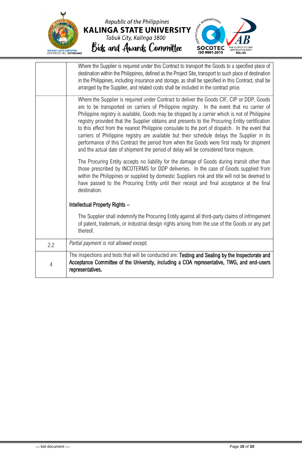



|                | Where the Supplier is required under this Contract to transport the Goods to a specified place of<br>destination within the Philippines, defined as the Project Site, transport to such place of destination<br>in the Philippines, including insurance and storage, as shall be specified in this Contract, shall be<br>arranged by the Supplier, and related costs shall be included in the contract price.<br>Where the Supplier is required under Contract to deliver the Goods CIF, CIP or DDP, Goods<br>are to be transported on carriers of Philippine registry. In the event that no carrier of<br>Philippine registry is available, Goods may be shipped by a carrier which is not of Philippine<br>registry provided that the Supplier obtains and presents to the Procuring Entity certification<br>to this effect from the nearest Philippine consulate to the port of dispatch. In the event that<br>carriers of Philippine registry are available but their schedule delays the Supplier in its<br>performance of this Contract the period from when the Goods were first ready for shipment<br>and the actual date of shipment the period of delay will be considered force majeure.<br>The Procuring Entity accepts no liability for the damage of Goods during transit other than<br>those prescribed by INCOTERMS for DDP deliveries. In the case of Goods supplied from<br>within the Philippines or supplied by domestic Suppliers risk and title will not be deemed to |
|----------------|---------------------------------------------------------------------------------------------------------------------------------------------------------------------------------------------------------------------------------------------------------------------------------------------------------------------------------------------------------------------------------------------------------------------------------------------------------------------------------------------------------------------------------------------------------------------------------------------------------------------------------------------------------------------------------------------------------------------------------------------------------------------------------------------------------------------------------------------------------------------------------------------------------------------------------------------------------------------------------------------------------------------------------------------------------------------------------------------------------------------------------------------------------------------------------------------------------------------------------------------------------------------------------------------------------------------------------------------------------------------------------------------------------------------------------------------------------------------------------------------|
|                | have passed to the Procuring Entity until their receipt and final acceptance at the final<br>destination.<br>Intellectual Property Rights -                                                                                                                                                                                                                                                                                                                                                                                                                                                                                                                                                                                                                                                                                                                                                                                                                                                                                                                                                                                                                                                                                                                                                                                                                                                                                                                                                 |
|                | The Supplier shall indemnify the Procuring Entity against all third-party claims of infringement                                                                                                                                                                                                                                                                                                                                                                                                                                                                                                                                                                                                                                                                                                                                                                                                                                                                                                                                                                                                                                                                                                                                                                                                                                                                                                                                                                                            |
|                | of patent, trademark, or industrial design rights arising from the use of the Goods or any part<br>thereof.                                                                                                                                                                                                                                                                                                                                                                                                                                                                                                                                                                                                                                                                                                                                                                                                                                                                                                                                                                                                                                                                                                                                                                                                                                                                                                                                                                                 |
| 2.2            | Partial payment is not allowed except.                                                                                                                                                                                                                                                                                                                                                                                                                                                                                                                                                                                                                                                                                                                                                                                                                                                                                                                                                                                                                                                                                                                                                                                                                                                                                                                                                                                                                                                      |
| $\overline{4}$ | The inspections and tests that will be conducted are: Testing and Sealing by the Inspectorate and<br>Acceptance Committee of the University, including a COA representative, TWG, and end-users<br>representatives.                                                                                                                                                                                                                                                                                                                                                                                                                                                                                                                                                                                                                                                                                                                                                                                                                                                                                                                                                                                                                                                                                                                                                                                                                                                                         |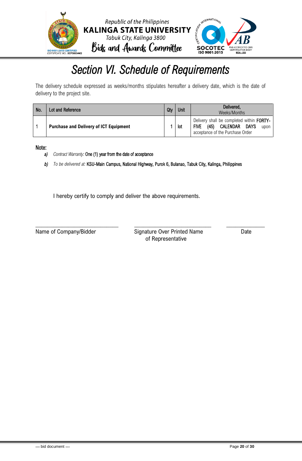

## *Section VI. Schedule of Requirements*

<span id="page-20-0"></span>The delivery schedule expressed as weeks/months stipulates hereafter a delivery date, which is the date of delivery to the project site.

| No. | Lot and Reference                             | Qtv | Unit | Delivered,<br>Weeks/Months                                                                                                                     |  |  |
|-----|-----------------------------------------------|-----|------|------------------------------------------------------------------------------------------------------------------------------------------------|--|--|
|     | <b>Purchase and Delivery of ICT Equipment</b> |     | lot  | Delivery shall be completed within <b>FORTY-</b><br>CALENDAR<br><b>FIVE</b><br><b>DAYS</b><br>(45)<br>upon<br>acceptance of the Purchase Order |  |  |

#### Note:

- *a) Contract Warranty:* One (1) year from the date of acceptance
- *b) To be delivered at:* KSU-Main Campus, National Highway, Purok 6, Bulanao, Tabuk City, Kalinga, Philippines

I hereby certify to comply and deliver the above requirements.

\_\_\_\_\_\_\_\_\_\_\_\_\_\_\_\_\_\_\_\_\_\_\_\_\_\_\_\_ \_\_\_\_\_\_\_\_\_\_\_\_\_\_\_\_\_\_\_\_\_\_\_\_\_\_ \_\_\_\_\_\_\_\_\_\_\_\_\_ Name of Company/Bidder Signature Over Printed Name Date of Representative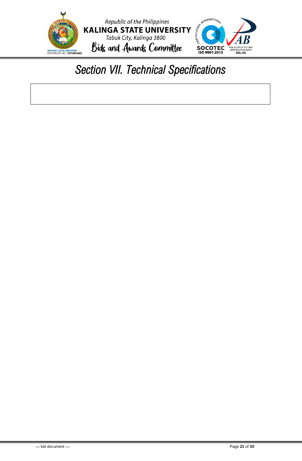

# <span id="page-21-0"></span>*Section VII. Technical Specifications*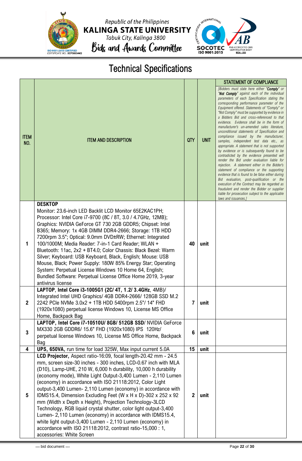

Republic of the Philippines KALINGA STATE UNIVERSITY<br>Tabuk City, Kalinga 3800<br>Bids and Awards Committee



### Technical Specifications

|                    |                                                                                                                                                                                                                                                                                                                                                                                                                                                                                                                                                                                                                                                                                                                                                                                                                       |                  |             | <b>STATEMENT OF COMPLIANCE</b>                                                                                                                                                                                                                                                                                                                                                                                                                                                                                                                                                                                                                                                                                                                                                                                                                                                                                                                                                                                                                                                                                                                     |
|--------------------|-----------------------------------------------------------------------------------------------------------------------------------------------------------------------------------------------------------------------------------------------------------------------------------------------------------------------------------------------------------------------------------------------------------------------------------------------------------------------------------------------------------------------------------------------------------------------------------------------------------------------------------------------------------------------------------------------------------------------------------------------------------------------------------------------------------------------|------------------|-------------|----------------------------------------------------------------------------------------------------------------------------------------------------------------------------------------------------------------------------------------------------------------------------------------------------------------------------------------------------------------------------------------------------------------------------------------------------------------------------------------------------------------------------------------------------------------------------------------------------------------------------------------------------------------------------------------------------------------------------------------------------------------------------------------------------------------------------------------------------------------------------------------------------------------------------------------------------------------------------------------------------------------------------------------------------------------------------------------------------------------------------------------------------|
| <b>ITEM</b><br>NO. | <b>ITEM AND DESCRIPTION</b>                                                                                                                                                                                                                                                                                                                                                                                                                                                                                                                                                                                                                                                                                                                                                                                           | QTY              | <b>UNIT</b> | [Bidders must state here either "Comply" or<br>"Not Comply" against each of the individual<br>parameters of each Specification stating the<br>corresponding performance parameter of the<br>Equipment offered. Statements of "Comply" or<br>"Not Comply" must be supported by evidence in<br>a Bidders Bid and cross-referenced to that<br>evidence. Evidence shall be in the form of<br>manufacturer's un-amended sales literature,<br>unconditional statements of Specification and<br>compliance issued by the manufacturer,<br>samples, independent test data etc., as<br>appropriate. A statement that is not supported<br>by evidence or is subsequently found to be<br>contradicted by the evidence presented will<br>render the Bid under evaluation liable for<br>rejection. A statement either in the Bidder's<br>statement of compliance or the supporting<br>evidence that is found to be false either during<br>Bid evaluation, post-qualification or the<br>execution of the Contract may be regarded as<br>fraudulent and render the Bidder or supplier<br>liable for prosecution subject to the applicable<br>laws and issuances.] |
|                    | <b>DESKTOP</b>                                                                                                                                                                                                                                                                                                                                                                                                                                                                                                                                                                                                                                                                                                                                                                                                        |                  |             |                                                                                                                                                                                                                                                                                                                                                                                                                                                                                                                                                                                                                                                                                                                                                                                                                                                                                                                                                                                                                                                                                                                                                    |
| 1                  | Monitor: 23.6-inch LED Backlit LCD Monitor 65E2KAC1PH;<br>Processor: Intel Core i7-9700 (8C / 8T, 3.0 / 4.7GHz, 12MB);<br>Graphics: NVIDIA GeForce GT 730 2GB GDDR5; Chipset: Intel<br>B365; Memory: 1x 4GB DIMM DDR4-2666; Storage: 1TB HDD<br>7200rpm 3.5"; Optical: 9.0mm DVD±RW; Ethernet: Integrated<br>100/1000M; Media Reader: 7-in-1 Card Reader; WLAN +<br>Bluetooth: 11ac, 2x2 + BT4.0; Color Chassis: Black Bezel: Warm<br>Silver; Keyboard: USB Keyboard, Black, English; Mouse: USB<br>Mouse, Black; Power Supply: 180W 85% Energy Star; Operating<br>System: Perpetual License Windows 10 Home 64, English;<br>Bundled Software: Perpetual License Office Home 2019, 3-year<br>antivirus license                                                                                                        | 40               | unit        |                                                                                                                                                                                                                                                                                                                                                                                                                                                                                                                                                                                                                                                                                                                                                                                                                                                                                                                                                                                                                                                                                                                                                    |
| $\mathbf{2}$       | LAPTOP, Intel Core i3-1005G1 (2C/ 4T, 1.2/ 3.4GHz, 4MB)/<br>Integrated Intel UHD Graphics/ 4GB DDR4-2666/ 128GB SSD M.2<br>2242 PCIe NVMe 3.0x2 + 1TB HDD 5400rpm 2.5"/ 14" FHD<br>(1920x1080) perpetual license Windows 10, License MS Office<br>Home, Backpack Bag                                                                                                                                                                                                                                                                                                                                                                                                                                                                                                                                                  | $\overline{7}$   | unit        |                                                                                                                                                                                                                                                                                                                                                                                                                                                                                                                                                                                                                                                                                                                                                                                                                                                                                                                                                                                                                                                                                                                                                    |
| 3                  | LAPTOP, Intel Core i7-10510U/ 8GB/ 512GB SSD/ NVIDIA GeForce<br>MX330 2GB GDDR6/ 15.6" FHD (1920x1080) IPS 120Hz/<br>perpetual license Windows 10, License MS Office Home, Backpack<br>Bag                                                                                                                                                                                                                                                                                                                                                                                                                                                                                                                                                                                                                            | $\boldsymbol{6}$ | unit        |                                                                                                                                                                                                                                                                                                                                                                                                                                                                                                                                                                                                                                                                                                                                                                                                                                                                                                                                                                                                                                                                                                                                                    |
| 4                  | UPS, 650VA, run time for load 325W, Max input current 5.0A                                                                                                                                                                                                                                                                                                                                                                                                                                                                                                                                                                                                                                                                                                                                                            | 15               | unit        |                                                                                                                                                                                                                                                                                                                                                                                                                                                                                                                                                                                                                                                                                                                                                                                                                                                                                                                                                                                                                                                                                                                                                    |
| 5                  | LCD Projector, Aspect ratio-16:09, focal length-20.42 mm - 24.5<br>mm, screen size-30 inches - 300 inches, LCD-0.67 inch with MLA<br>(D10), Lamp-UHE, 210 W, 6,000 h durability, 10,000 h durability<br>(economy mode), White Light Output-3,400 Lumen - 2,110 Lumen<br>(economy) in accordance with ISO 21118:2012, Color Light<br>output-3,400 Lumen- 2,110 Lumen (economy) in accordance with<br>IDMS15.4, Dimension Excluding Feet (W x H x D)-302 x 252 x 92<br>mm (Width x Depth x Height), Projection Technology-3LCD<br>Technology, RGB liquid crystal shutter, color light output-3,400<br>Lumen- 2,110 Lumen (economy) in accordance with IDMS15.4,<br>white light output-3,400 Lumen - 2,110 Lumen (economy) in<br>accordance with ISO 21118:2012, contrast ratio-15,000 : 1,<br>accessories: White Screen | $\mathbf{2}$     | unit        |                                                                                                                                                                                                                                                                                                                                                                                                                                                                                                                                                                                                                                                                                                                                                                                                                                                                                                                                                                                                                                                                                                                                                    |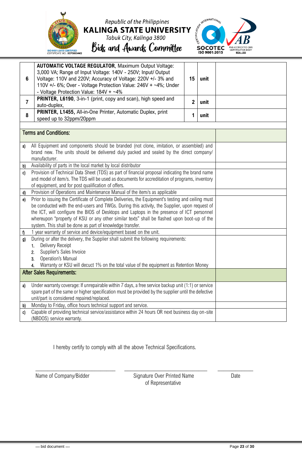

### Republic of the Philippines **KALINGA STATE UNIVERSITY** Tabuk City, Kalinga 3800

Bids and Awards Committee



**6 AUTOMATIC VOLTAGE REGULATOR**, Maximum Output Voltage: 3,000 VA; Range of Input Voltage: 140V - 250V; Input/ Output Voltage: 110V and 220V; Accuracy of Voltage: 220V +/- 3% and 110V +/- 6%; Over - Voltage Protection Value: 246V + ~4%; Under - Voltage Protection Value:  $184V + -4\%$ **15 unit 7 PRINTER, L6190, 3-in-1 (print, copy and scan), high speed and** auto-duplex, **2 unit 8 PRINTER, L1455,** All-in-One Printer, Automatic Duplex, print speed up to 32ppm/20ppm **1 unit** Terms and Conditions: a) All Equipment and components should be branded (not clone, imitation, or assembled) and brand new. The units should be delivered duly packed and sealed by the direct company/ manufacturer. b) Availability of parts in the local market by local distributor c) Provision of Technical Data Sheet (TDS) as part of financial proposal indicating the brand name and model of item/s. The TDS will be used as documents for accreditation of programs, inventory of equipment, and for post qualification of offers. d) Provision of Operations and Maintenance Manual of the item/s as applicable e) Prior to issuing the Certificate of Complete Deliveries, the Equipment's testing and ceiling must be conducted with the end-users and TWGs. During this activity, the Supplier, upon request of the ICT, will configure the BIOS of Desktops and Laptops in the presence of ICT personnel whereupon "property of KSU or any other similar texts" shall be flashed upon boot-up of the system. This shall be done as part of knowledge transfer.  $\eta$  1 year warranty of service and device/equipment based on the unit. g) During or after the delivery, the Supplier shall submit the following requirements: 1. Delivery Receipt 2. Supplier's Sales Invoice 3. Operation's Manual 4. Warranty or KSU will decuct 1% on the total value of the equipment as Retention Money After Sales Requirements: a) Under warranty coverage: If unrepairable within 7 days, a free service backup unit (1:1) or service spare part of the same or higher specification must be provided by the supplier until the defective unit/part is considered repaired/replaced. b) Monday to Friday, office hours technical support and service. c) Capable of providing technical service/assistance within 24 hours OR next business day on-site (NBDOS) service warranty.

I hereby certify to comply with all the above Technical Specifications.

Name of Company/Bidder Signature Over Printed Name Date of Representative

\_\_\_\_\_\_\_\_\_\_\_\_\_\_\_\_\_\_\_\_\_\_\_\_\_\_\_ \_\_\_\_\_\_\_\_\_\_\_\_\_\_\_\_\_\_\_\_\_\_\_\_\_\_\_\_ \_\_\_\_\_\_\_\_\_\_\_\_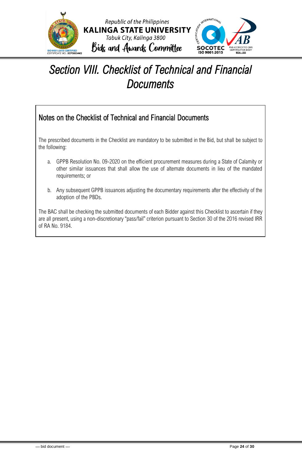

## <span id="page-24-0"></span>*Section VIII. Checklist of Technical and Financial Documents*

### Notes on the Checklist of Technical and Financial Documents

The prescribed documents in the Checklist are mandatory to be submitted in the Bid, but shall be subject to the following:

- a. GPPB Resolution No. 09-2020 on the efficient procurement measures during a State of Calamity or other similar issuances that shall allow the use of alternate documents in lieu of the mandated requirements; or
- b. Any subsequent GPPB issuances adjusting the documentary requirements after the effectivity of the adoption of the PBDs.

The BAC shall be checking the submitted documents of each Bidder against this Checklist to ascertain if they are all present, using a non-discretionary "pass/fail" criterion pursuant to Section 30 of the 2016 revised IRR of RA No. 9184.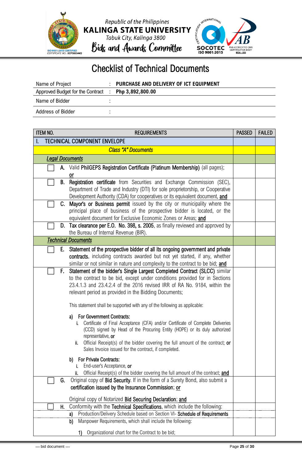





### Checklist of Technical Documents

| Name of Project                  | : PURCHASE AND DELIVERY OF ICT EQUIPMENT |
|----------------------------------|------------------------------------------|
| Approved Budget for the Contract | $\therefore$ Php 3,892,800.00            |
| Name of Bidder                   |                                          |
| Address of Bidder                |                                          |

| <b>ITEM NO.</b><br><b>REQUIREMENTS</b>                                                                                                                          | <b>PASSED</b> | <b>FAILED</b> |
|-----------------------------------------------------------------------------------------------------------------------------------------------------------------|---------------|---------------|
| <b>TECHNICAL COMPONENT ENVELOPE</b>                                                                                                                             |               |               |
| <b>Class "A" Documents</b>                                                                                                                                      |               |               |
| <b>Legal Documents</b>                                                                                                                                          |               |               |
| Valid PhilGEPS Registration Certificate (Platinum Membership) (all pages);<br>А.                                                                                |               |               |
| or                                                                                                                                                              |               |               |
| Registration certificate from Securities and Exchange Commission (SEC),<br>B.                                                                                   |               |               |
| Department of Trade and Industry (DTI) for sole proprietorship, or Cooperative                                                                                  |               |               |
| Development Authority (CDA) for cooperatives or its equivalent document, and<br>Mayor's or Business permit issued by the city or municipality where the<br>C.   |               |               |
| principal place of business of the prospective bidder is located, or the                                                                                        |               |               |
| equivalent document for Exclusive Economic Zones or Areas; and                                                                                                  |               |               |
| Tax clearance per E.O. No. 398, s. 2005, as finally reviewed and approved by<br>D.                                                                              |               |               |
| the Bureau of Internal Revenue (BIR).                                                                                                                           |               |               |
| <b>Technical Documents</b>                                                                                                                                      |               |               |
| Statement of the prospective bidder of all its ongoing government and private<br>Е.                                                                             |               |               |
| contracts, including contracts awarded but not yet started, if any, whether                                                                                     |               |               |
| similar or not similar in nature and complexity to the contract to be bid; and                                                                                  |               |               |
| Statement of the bidder's Single Largest Completed Contract (SLCC) similar<br>F.<br>to the contract to be bid, except under conditions provided for in Sections |               |               |
| 23.4.1.3 and 23.4.2.4 of the 2016 revised IRR of RA No. 9184, within the                                                                                        |               |               |
| relevant period as provided in the Bidding Documents;                                                                                                           |               |               |
|                                                                                                                                                                 |               |               |
| This statement shall be supported with any of the following as applicable:                                                                                      |               |               |
| For Government Contracts:<br>a)                                                                                                                                 |               |               |
| Certificate of Final Acceptance (CFA) and/or Certificate of Complete Deliveries<br>i.                                                                           |               |               |
| (CCD) signed by Head of the Procuring Entity (HOPE) or its duly authorized<br>representative, or                                                                |               |               |
| Official Receipt(s) of the bidder covering the full amount of the contract; or<br>ii.                                                                           |               |               |
| Sales Invoice issued for the contract, if completed.                                                                                                            |               |               |
| <b>For Private Contracts:</b><br>b)                                                                                                                             |               |               |
| End-user's Acceptance, or                                                                                                                                       |               |               |
| Official Receipt(s) of the bidder covering the full amount of the contract; and<br>ii.                                                                          |               |               |
| Original copy of Bid Security. If in the form of a Surety Bond, also submit a<br>G.                                                                             |               |               |
| certification issued by the Insurance Commission; or                                                                                                            |               |               |
| Original copy of Notarized Bid Securing Declaration; and                                                                                                        |               |               |
| Conformity with the Technical Specifications, which include the following:<br>Н.                                                                                |               |               |
| Production/Delivery Schedule based on Section VI- Schedule of Requirements<br>a)                                                                                |               |               |
| Manpower Requirements, which shall include the following:<br>b)                                                                                                 |               |               |
| Organizational chart for the Contract to be bid;<br>1)                                                                                                          |               |               |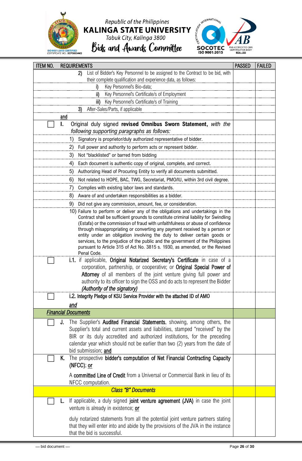

# Republic of the Philippines KALINGA STATE UNIVERSITY<br>Tabuk City, Kalinga 3800<br>Bids and Awards Committee



| <b>ITEM NO.</b> | <b>REQUIREMENTS</b>                                                                                                                                                                                                                                                                                                                                                                                                       | <b>PASSED</b> | <b>FAILED</b> |
|-----------------|---------------------------------------------------------------------------------------------------------------------------------------------------------------------------------------------------------------------------------------------------------------------------------------------------------------------------------------------------------------------------------------------------------------------------|---------------|---------------|
|                 | List of Bidder's Key Personnel to be assigned to the Contract to be bid, with<br>2)                                                                                                                                                                                                                                                                                                                                       |               |               |
|                 | their complete qualification and experience data, as follows:                                                                                                                                                                                                                                                                                                                                                             |               |               |
|                 | Key Personnel's Bio-data;<br>j)                                                                                                                                                                                                                                                                                                                                                                                           |               |               |
|                 | Key Personnel's Certificate/s of Employment<br>ii)                                                                                                                                                                                                                                                                                                                                                                        |               |               |
|                 | Key Personnel's Certificate/s of Training<br>iii)<br>After-Sales/Parts, if applicable<br>3)                                                                                                                                                                                                                                                                                                                               |               |               |
|                 | and                                                                                                                                                                                                                                                                                                                                                                                                                       |               |               |
|                 | Original duly signed revised Omnibus Sworn Statement, with the<br>I.<br>following supporting paragraphs as follows:                                                                                                                                                                                                                                                                                                       |               |               |
|                 | Signatory is proprietor/duly authorized representative of bidder.<br>1)                                                                                                                                                                                                                                                                                                                                                   |               |               |
|                 | Full power and authority to perform acts or represent bidder.<br>2)                                                                                                                                                                                                                                                                                                                                                       |               |               |
|                 | 3)<br>Not "blacklisted" or barred from bidding                                                                                                                                                                                                                                                                                                                                                                            |               |               |
|                 | Each document is authentic copy of original, complete, and correct.<br>4)                                                                                                                                                                                                                                                                                                                                                 |               |               |
|                 | Authorizing Head of Procuring Entity to verify all documents submitted.<br>5)                                                                                                                                                                                                                                                                                                                                             |               |               |
|                 | Not related to HOPE, BAC, TWG, Secretariat, PMO/IU, within 3rd civil degree.<br>6)                                                                                                                                                                                                                                                                                                                                        |               |               |
|                 | Complies with existing labor laws and standards.<br>7)                                                                                                                                                                                                                                                                                                                                                                    |               |               |
|                 | Aware of and undertaken responsibilities as a bidder.<br>8)                                                                                                                                                                                                                                                                                                                                                               |               |               |
|                 | Did not give any commission, amount, fee, or consideration.<br>9)                                                                                                                                                                                                                                                                                                                                                         |               |               |
|                 | 10) Failure to perform or deliver any of the obligations and undertakings in the<br>Contract shall be sufficient grounds to constitute criminal liability for Swindling                                                                                                                                                                                                                                                   |               |               |
|                 | (Estafa) or the commission of fraud with unfaithfulness or abuse of confidence<br>through misappropriating or converting any payment received by a person or<br>entity under an obligation involving the duty to deliver certain goods or<br>services, to the prejudice of the public and the government of the Philippines<br>pursuant to Article 315 of Act No. 3815 s. 1930, as amended, or the Revised<br>Penal Code. |               |               |
|                 | i.1. if applicable, Original Notarized Secretary's Certificate in case of a<br>corporation, partnership, or cooperative; or Original Special Power of<br>Attorney of all members of the joint venture giving full power and<br>authority to its officer to sign the OSS and do acts to represent the Bidder<br>(Authority of the signatory)                                                                               |               |               |
|                 | i.2. Integrity Pledge of KSU Service Provider with the attached ID of AMO                                                                                                                                                                                                                                                                                                                                                 |               |               |
|                 | and                                                                                                                                                                                                                                                                                                                                                                                                                       |               |               |
|                 | <b>Financial Documents</b>                                                                                                                                                                                                                                                                                                                                                                                                |               |               |
|                 | The Supplier's <b>Audited Financial Statements</b> , showing, among others, the<br>J.<br>Supplier's total and current assets and liabilities, stamped "received" by the<br>BIR or its duly accredited and authorized institutions, for the preceding<br>calendar year which should not be earlier than two (2) years from the date of<br>bid submission; and                                                              |               |               |
|                 | The prospective bidder's computation of Net Financial Contracting Capacity<br>K.<br>(NFCC); or                                                                                                                                                                                                                                                                                                                            |               |               |
|                 | A committed Line of Credit from a Universal or Commercial Bank in lieu of its<br>NFCC computation.                                                                                                                                                                                                                                                                                                                        |               |               |
|                 | <b>Class "B" Documents</b>                                                                                                                                                                                                                                                                                                                                                                                                |               |               |
|                 | If applicable, a duly signed joint venture agreement (JVA) in case the joint<br>L.<br>venture is already in existence; or                                                                                                                                                                                                                                                                                                 |               |               |
|                 | duly notarized statements from all the potential joint venture partners stating<br>that they will enter into and abide by the provisions of the JVA in the instance<br>that the bid is successful.                                                                                                                                                                                                                        |               |               |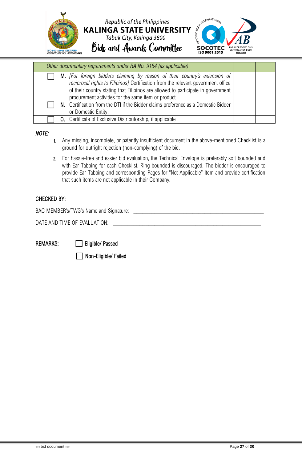

| Other documentary requirements under RA No. 9184 (as applicable)                                                                                                                                                                                                                                            |  |
|-------------------------------------------------------------------------------------------------------------------------------------------------------------------------------------------------------------------------------------------------------------------------------------------------------------|--|
| M. [For foreign bidders claiming by reason of their country's extension of<br>reciprocal rights to Filipinos] Certification from the relevant government office<br>of their country stating that Filipinos are allowed to participate in government<br>procurement activities for the same item or product. |  |
| N. Certification from the DTI if the Bidder claims preference as a Domestic Bidder<br>or Domestic Entity.                                                                                                                                                                                                   |  |
| <b>0.</b> Certificate of Exclusive Distributorship, if applicable                                                                                                                                                                                                                                           |  |

#### *NOTE:*

- 1. Any missing, incomplete, or patently insufficient document in the above-mentioned Checklist is a ground for outright rejection (non-complying) of the bid.
- 2. For hassle-free and easier bid evaluation, the Technical Envelope is preferably soft bounded and with Ear-Tabbing for each Checklist. Ring bounded is discouraged. The bidder is encouraged to provide Ear-Tabbing and corresponding Pages for "Not Applicable" Item and provide certification that such items are not applicable in their Company.

### CHECKED BY:

BAC MEMBER's/TWG's Name and Signature: \_\_\_\_\_\_\_\_\_\_\_\_\_\_\_\_\_\_\_\_\_\_\_\_\_\_\_\_\_\_\_\_\_\_\_\_\_\_\_\_\_\_\_\_

DATE AND TIME OF EVALUATION:

REMARKS: **is a contract Eligible/ Passed** 

⬜ Non-Eligible/ Failed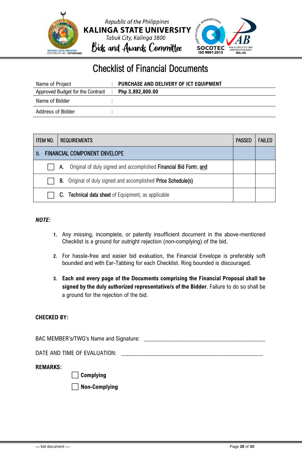

### Checklist of Financial Documents

| Name of Project                                     | PURCHASE AND DELIVERY OF ICT EQUIPMENT |
|-----------------------------------------------------|----------------------------------------|
| Approved Budget for the Contract : Php 3,892,800.00 |                                        |
| Name of Bidder                                      |                                        |
| Address of Bidder                                   |                                        |

|                                           | <b>ITEM NO.</b><br><b>REQUIREMENTS</b> |    | <b>PASSED</b>                                                        | <b>FAILED</b> |  |
|-------------------------------------------|----------------------------------------|----|----------------------------------------------------------------------|---------------|--|
| <b>FINANCIAL COMPONENT ENVELOPE</b><br>H. |                                        |    |                                                                      |               |  |
|                                           |                                        | А. | Original of duly signed and accomplished Financial Bid Form; and     |               |  |
|                                           |                                        |    | <b>B.</b> Original of duly signed and accomplished Price Schedule(s) |               |  |
|                                           |                                        |    | C. Technical data sheet of Equipment, as applicable                  |               |  |

#### *NOTE:*

- **1.** Any missing, incomplete, or patently insufficient document in the above-mentioned Checklist is a ground for outright rejection (non-complying) of the bid.
- **2.** For hassle-free and easier bid evaluation, the Financial Envelope is preferably soft bounded and with Ear-Tabbing for each Checklist. Ring bounded is discouraged.
- **3. Each and every page of the Documents comprising the Financial Proposal shall be signed by the duly authorized representative/s of the Bidder**. Failure to do so shall be a ground for the rejection of the bid.

#### **CHECKED BY:**

BAC MEMBER's/TWG's Name and Signature: \_\_\_\_\_\_\_\_\_\_\_\_\_\_\_\_\_\_\_\_\_\_\_\_\_\_\_\_\_\_\_\_\_\_\_\_\_\_\_\_\_

DATE AND TIME OF EVALUATION:

#### **REMARKS:**

⬜ **Complying** 

⬜ **Non-Complying**